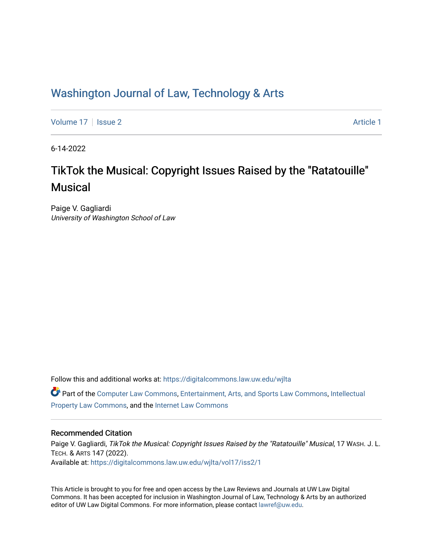## Washington Journal of Law, Technology & Arts

[Volume 17](https://digitalcommons.law.uw.edu/wjlta/vol17) | [Issue 2](https://digitalcommons.law.uw.edu/wjlta/vol17/iss2) [Article 1](https://digitalcommons.law.uw.edu/wjlta/vol17/iss2/1) | Article 1 | Article 1 | Article 1 | Article 1 | Article 1 | Article 1 | Article 1 | Article 1 | Article 1 | Article 1 | Article 1 | Article 1 | Article 1 | Article 1 | Article 1 | Article 1

6-14-2022

# TikTok the Musical: Copyright Issues Raised by the "Ratatouille" **Musical**

Paige V. Gagliardi University of Washington School of Law

Follow this and additional works at: [https://digitalcommons.law.uw.edu/wjlta](https://digitalcommons.law.uw.edu/wjlta?utm_source=digitalcommons.law.uw.edu%2Fwjlta%2Fvol17%2Fiss2%2F1&utm_medium=PDF&utm_campaign=PDFCoverPages) 

Part of the [Computer Law Commons,](https://network.bepress.com/hgg/discipline/837?utm_source=digitalcommons.law.uw.edu%2Fwjlta%2Fvol17%2Fiss2%2F1&utm_medium=PDF&utm_campaign=PDFCoverPages) [Entertainment, Arts, and Sports Law Commons](https://network.bepress.com/hgg/discipline/893?utm_source=digitalcommons.law.uw.edu%2Fwjlta%2Fvol17%2Fiss2%2F1&utm_medium=PDF&utm_campaign=PDFCoverPages), [Intellectual](https://network.bepress.com/hgg/discipline/896?utm_source=digitalcommons.law.uw.edu%2Fwjlta%2Fvol17%2Fiss2%2F1&utm_medium=PDF&utm_campaign=PDFCoverPages)  [Property Law Commons](https://network.bepress.com/hgg/discipline/896?utm_source=digitalcommons.law.uw.edu%2Fwjlta%2Fvol17%2Fiss2%2F1&utm_medium=PDF&utm_campaign=PDFCoverPages), and the [Internet Law Commons](https://network.bepress.com/hgg/discipline/892?utm_source=digitalcommons.law.uw.edu%2Fwjlta%2Fvol17%2Fiss2%2F1&utm_medium=PDF&utm_campaign=PDFCoverPages) 

## Recommended Citation

Paige V. Gagliardi, TikTok the Musical: Copyright Issues Raised by the "Ratatouille" Musical, 17 WASH. J. L. TECH. & ARTS 147 (2022). Available at: [https://digitalcommons.law.uw.edu/wjlta/vol17/iss2/1](https://digitalcommons.law.uw.edu/wjlta/vol17/iss2/1?utm_source=digitalcommons.law.uw.edu%2Fwjlta%2Fvol17%2Fiss2%2F1&utm_medium=PDF&utm_campaign=PDFCoverPages) 

This Article is brought to you for free and open access by the Law Reviews and Journals at UW Law Digital Commons. It has been accepted for inclusion in Washington Journal of Law, Technology & Arts by an authorized editor of UW Law Digital Commons. For more information, please contact [lawref@uw.edu](mailto:lawref@uw.edu).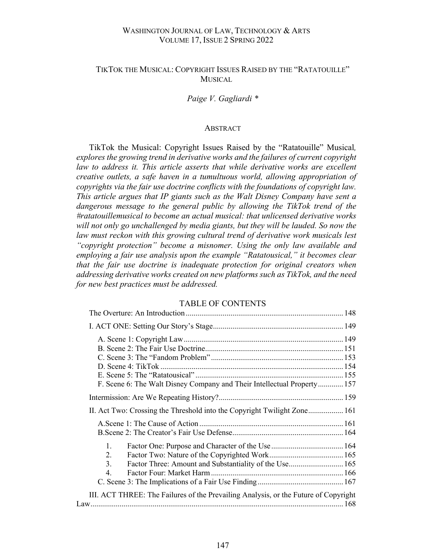## WASHINGTON JOURNAL OF LAW, TECHNOLOGY & ARTS VOLUME 17, ISSUE 2 SPRING 2022

## TIKTOK THE MUSICAL: COPYRIGHT ISSUES RAISED BY THE "RATATOUILLE" **MUSICAL**

*Paige V. Gagliardi \**

#### ABSTRACT

TikTok the Musical: Copyright Issues Raised by the "Ratatouille" Musical*, explores the growing trend in derivative works and the failures of current copyright law to address it. This article asserts that while derivative works are excellent creative outlets, a safe haven in a tumultuous world, allowing appropriation of copyrights via the fair use doctrine conflicts with the foundations of copyright law. This article argues that IP giants such as the Walt Disney Company have sent a*  dangerous message to the general public by allowing the TikTok trend of the *#ratatouillemusical to become an actual musical: that unlicensed derivative works*  will not only go unchallenged by media giants, but they will be lauded. So now the law must reckon with this growing cultural trend of derivative work musicals lest *"copyright protection" become a misnomer. Using the only law available and employing a fair use analysis upon the example "Ratatousical," it becomes clear that the fair use doctrine is inadequate protection for original creators when addressing derivative works created on new platforms such as TikTok, and the need for new best practices must be addressed.* 

## TABLE OF CONTENTS

|    | F. Scene 6: The Walt Disney Company and Their Intellectual Property 157             |  |
|----|-------------------------------------------------------------------------------------|--|
|    |                                                                                     |  |
|    | II. Act Two: Crossing the Threshold into the Copyright Twilight Zone 161            |  |
|    |                                                                                     |  |
|    |                                                                                     |  |
| 1. |                                                                                     |  |
| 2. |                                                                                     |  |
| 3. | Factor Three: Amount and Substantiality of the Use 165                              |  |
| 4. |                                                                                     |  |
|    |                                                                                     |  |
|    | III. ACT THREE: The Failures of the Prevailing Analysis, or the Future of Copyright |  |
|    |                                                                                     |  |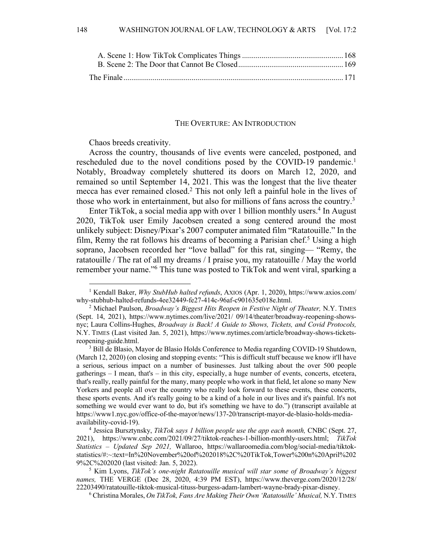#### THE OVERTURE: AN INTRODUCTION

Chaos breeds creativity.

Across the country, thousands of live events were canceled, postponed, and rescheduled due to the novel conditions posed by the COVID-19 pandemic.<sup>1</sup> Notably, Broadway completely shuttered its doors on March 12, 2020, and remained so until September 14, 2021. This was the longest that the live theater mecca has ever remained closed.2 This not only left a painful hole in the lives of those who work in entertainment, but also for millions of fans across the country.<sup>3</sup>

Enter TikTok, a social media app with over 1 billion monthly users.<sup>4</sup> In August 2020, TikTok user Emily Jacobsen created a song centered around the most unlikely subject: Disney/Pixar's 2007 computer animated film "Ratatouille." In the film, Remy the rat follows his dreams of becoming a Parisian chef.<sup>5</sup> Using a high soprano, Jacobsen recorded her "love ballad" for this rat, singing— "Remy, the ratatouille / The rat of all my dreams / I praise you, my ratatouille / May the world remember your name."6 This tune was posted to TikTok and went viral, sparking a

<sup>1</sup> Kendall Baker, *Why StubHub halted refunds*, AXIOS (Apr. 1, 2020), https://www.axios.com/ why-stubhub-halted-refunds-4ee32449-fe27-414c-96af-c901635e018e.html. 2 Michael Paulson, *Broadway's Biggest Hits Reopen in Festive Night of Theater,* N.Y. TIMES

<sup>(</sup>Sept. 14, 2021), https://www.nytimes.com/live/2021/ 09/14/theater/broadway-reopening-showsnyc; Laura Collins-Hughes, *Broadway is Back! A Guide to Shows, Tickets, and Covid Protocols,*  N.Y. TIMES (Last visited Jan. 5, 2021), https://www.nytimes.com/article/broadway-shows-ticketsreopening-guide.html.

<sup>&</sup>lt;sup>3</sup> Bill de Blasio, Mayor de Blasio Holds Conference to Media regarding COVID-19 Shutdown, (March 12, 2020) (on closing and stopping events: "This is difficult stuff because we know it'll have a serious, serious impact on a number of businesses. Just talking about the over 500 people gatherings – I mean, that's – in this city, especially, a huge number of events, concerts, etcetera, that's really, really painful for the many, many people who work in that field, let alone so many New Yorkers and people all over the country who really look forward to these events, these concerts, these sports events. And it's really going to be a kind of a hole in our lives and it's painful. It's not something we would ever want to do, but it's something we have to do.") (transcript available at https://www1.nyc.gov/office-of-the-mayor/news/137-20/transcript-mayor-de-blasio-holds-mediaavailability-covid-19).

<sup>4</sup> Jessica Bursztynsky, *TikTok says 1 billion people use the app each month,* CNBC (Sept. 27, 2021), https://www.cnbc.com/2021/09/27/tiktok-reaches-1-billion-monthly-users.html; *TikTok Statistics – Updated Sep 2021,* Wallaroo, https://wallaroomedia.com/blog/social-media/tiktokstatistics/#:~:text=In%20November%20of%202018%2C%20TikTok,Tower%200n%20April%202 9%2C%202020 (last visited: Jan. 5, 2022). 5 Kim Lyons, *TikTok's one-night Ratatouille musical will star some of Broadway's biggest* 

*names,* THE VERGE (Dec 28, 2020, 4:39 PM EST), https://www.theverge.com/2020/12/28/ 22203490/ratatouille-tiktok-musical-tituss-burgess-adam-lambert-wayne-brady-pixar-disney.

<sup>6</sup> Christina Morales, *On TikTok, Fans Are Making Their Own 'Ratatouille' Musical,* N.Y.TIMES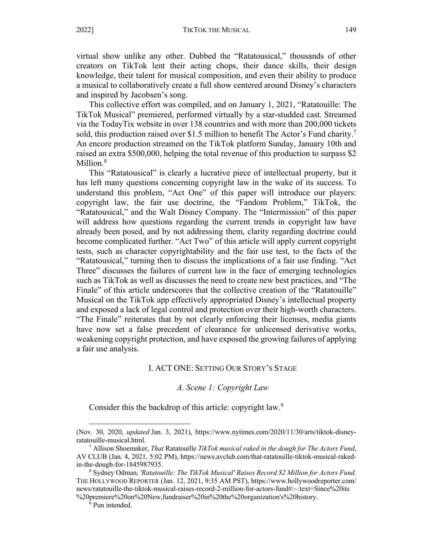virtual show unlike any other. Dubbed the "Ratatousical," thousands of other creators on TikTok lent their acting chops, their dance skills, their design knowledge, their talent for musical composition, and even their ability to produce a musical to collaboratively create a full show centered around Disney's characters and inspired by Jacobsen's song.

This collective effort was compiled, and on January 1, 2021, "Ratatouille: The TikTok Musical" premiered, performed virtually by a star-studded cast. Streamed via the TodayTix website in over 138 countries and with more than 200,000 tickets sold, this production raised over \$1.5 million to benefit The Actor's Fund charity.<sup>7</sup> An encore production streamed on the TikTok platform Sunday, January 10th and raised an extra \$500,000, helping the total revenue of this production to surpass \$2 Million.<sup>8</sup>

This "Ratatousical" is clearly a lucrative piece of intellectual property, but it has left many questions concerning copyright law in the wake of its success. To understand this problem, "Act One" of this paper will introduce our players: copyright law, the fair use doctrine, the "Fandom Problem," TikTok, the "Ratatousical," and the Walt Disney Company. The "Intermission" of this paper will address how questions regarding the current trends in copyright law have already been posed, and by not addressing them, clarity regarding doctrine could become complicated further. "Act Two" of this article will apply current copyright tests, such as character copyrightability and the fair use test, to the facts of the "Ratatousical," turning then to discuss the implications of a fair use finding. "Act Three" discusses the failures of current law in the face of emerging technologies such as TikTok as well as discusses the need to create new best practices, and "The Finale" of this article underscores that the collective creation of the "Ratatouille" Musical on the TikTok app effectively appropriated Disney's intellectual property and exposed a lack of legal control and protection over their high-worth characters. "The Finale" reiterates that by not clearly enforcing their licenses, media giants have now set a false precedent of clearance for unlicensed derivative works, weakening copyright protection, and have exposed the growing failures of applying a fair use analysis.

#### I. ACT ONE: SETTING OUR STORY'S STAGE

#### *A. Scene 1: Copyright Law*

Consider this the backdrop of this article: copyright law.<sup>9</sup>

<sup>(</sup>Nov. 30, 2020, *updated* Jan. 3, 2021), https://www.nytimes.com/2020/11/30/arts/tiktok-disneyratatouille-musical.html.

<sup>7</sup> Allison Shoemaker, *That* Ratatouille *TikTok musical raked in the dough for The Actors Fund*, AV CLUB (Jan. 4, 2021, 5:02 PM), https://news.avclub.com/that-ratatouille-tiktok-musical-rakedin-the-dough-for-1845987935. 8 Sydney Odman, *'Ratatouille: The TikTok Musical' Raises Record \$2 Million for Actors Fund,* 

THE HOLLYWOOD REPORTER (Jan. 12, 2021, 9:35 AM PST), https://www.hollywoodreporter.com/ news/ratatouille-the-tiktok-musical-raises-record-2-million-for-actors-fund#:~:text=Since%20its %20premiere%20on%20New,fundraiser%20in%20the%20organization's%20history.

<sup>&</sup>lt;sup>9</sup> Pun intended.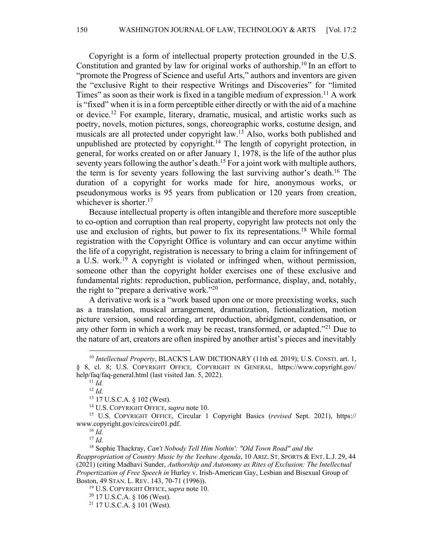Copyright is a form of intellectual property protection grounded in the U.S. Constitution and granted by law for original works of authorship.10 In an effort to "promote the Progress of Science and useful Arts," authors and inventors are given the "exclusive Right to their respective Writings and Discoveries" for "limited Times" as soon as their work is fixed in a tangible medium of expression.<sup>11</sup> A work is "fixed" when it is in a form perceptible either directly or with the aid of a machine or device.12 For example, literary, dramatic, musical, and artistic works such as poetry, novels, motion pictures, songs, choreographic works, costume design, and musicals are all protected under copyright law.13 Also, works both published and unpublished are protected by copyright.<sup>14</sup> The length of copyright protection, in general, for works created on or after January 1, 1978, is the life of the author plus seventy years following the author's death.<sup>15</sup> For a joint work with multiple authors, the term is for seventy years following the last surviving author's death.16 The duration of a copyright for works made for hire, anonymous works, or pseudonymous works is 95 years from publication or 120 years from creation, whichever is shorter.<sup>17</sup>

Because intellectual property is often intangible and therefore more susceptible to co-option and corruption than real property, copyright law protects not only the use and exclusion of rights, but power to fix its representations.<sup>18</sup> While formal registration with the Copyright Office is voluntary and can occur anytime within the life of a copyright, registration is necessary to bring a claim for infringement of a U.S. work.<sup>19</sup> A copyright is violated or infringed when, without permission, someone other than the copyright holder exercises one of these exclusive and fundamental rights: reproduction, publication, performance, display, and, notably, the right to "prepare a derivative work."<sup>20</sup>

A derivative work is a "work based upon one or more preexisting works, such as a translation, musical arrangement, dramatization, fictionalization, motion picture version, sound recording, art reproduction, abridgment, condensation, or any other form in which a work may be recast, transformed, or adapted."<sup>21</sup> Due to the nature of art, creators are often inspired by another artist's pieces and inevitably

<sup>&</sup>lt;sup>10</sup> *Intellectual Property*, BLACK'S LAW DICTIONARY (11th ed. 2019); U.S. CONSTI. art. 1, § 8, cl. 8; U.S. COPYRIGHT OFFICE*,* COPYRIGHT IN GENERAL*,* https://www.copyright.gov/ help/faq/faq-general.html (last visited Jan. 5, 2022).

<sup>11</sup> *Id.*  $12$  *Id.* 

<sup>13</sup> 17 U.S.C.A. § 102 (West).

<sup>&</sup>lt;sup>14</sup> U.S. COPYRIGHT OFFICE, supra note 10.<br><sup>15</sup> U.S. COPYRIGHT OFFICE, Circular 1 Copyright Basics (*revised* Sept. 2021), https:// www.copyright.gov/circs/circ01.pdf.

<sup>16</sup> *Id.*

<sup>17</sup> *Id.* 

<sup>18</sup> Sophie Thackray, *Can't Nobody Tell Him Nothin': "Old Town Road" and the Reappropriation of Country Music by the Yeehaw Agenda*, 10 ARIZ. ST. SPORTS & ENT. L.J. 29, 44 (2021) (citing Madhavi Sunder, *Authorship and Autonomy as Rites of Exclusion: The Intellectual Propertization of Free Speech in* Hurley v. Irish-American Gay, Lesbian and Bisexual Group of Boston, 49 STAN. L. REV. 143, 70-71 (1996)).

<sup>19</sup> U.S. COPYRIGHT OFFICE, s*upra* note 10.

 $20$  17 U.S.C.A. § 106 (West).

<sup>21</sup> 17 U.S.C.A. § 101 (West).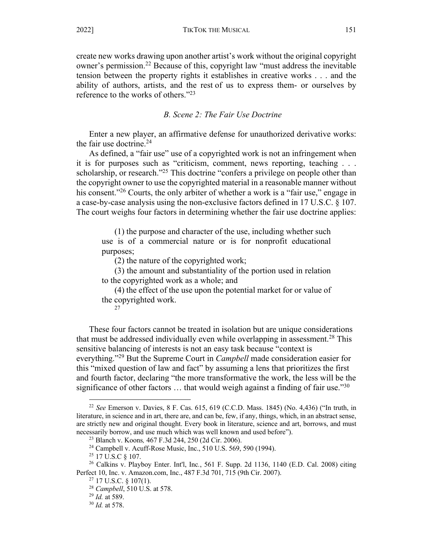create new works drawing upon another artist's work without the original copyright owner's permission.<sup>22</sup> Because of this, copyright law "must address the inevitable tension between the property rights it establishes in creative works . . . and the ability of authors, artists, and the rest of us to express them- or ourselves by reference to the works of others."<sup>23</sup>

*B. Scene 2: The Fair Use Doctrine*

Enter a new player, an affirmative defense for unauthorized derivative works: the fair use doctrine. $24$ 

As defined, a "fair use" use of a copyrighted work is not an infringement when it is for purposes such as "criticism, comment, news reporting, teaching . . . scholarship, or research."<sup>25</sup> This doctrine "confers a privilege on people other than the copyright owner to use the copyrighted material in a reasonable manner without his consent.<sup>"26</sup> Courts, the only arbiter of whether a work is a "fair use," engage in a case-by-case analysis using the non-exclusive factors defined in 17 U.S.C. § 107. The court weighs four factors in determining whether the fair use doctrine applies:

(1) the purpose and character of the use, including whether such use is of a commercial nature or is for nonprofit educational purposes;

(2) the nature of the copyrighted work;

(3) the amount and substantiality of the portion used in relation to the copyrighted work as a whole; and

(4) the effect of the use upon the potential market for or value of the copyrighted work.

27

These four factors cannot be treated in isolation but are unique considerations that must be addressed individually even while overlapping in assessment.<sup>28</sup> This sensitive balancing of interests is not an easy task because "context is everything."29 But the Supreme Court in *Campbell* made consideration easier for this "mixed question of law and fact" by assuming a lens that prioritizes the first and fourth factor, declaring "the more transformative the work, the less will be the significance of other factors  $\dots$  that would weigh against a finding of fair use."<sup>30</sup>

<sup>22</sup> *See* Emerson v. Davies, 8 F. Cas. 615, 619 (C.C.D. Mass. 1845) (No. 4,436) ("In truth, in literature, in science and in art, there are, and can be, few, if any, things, which, in an abstract sense, are strictly new and original thought. Every book in literature, science and art, borrows, and must necessarily borrow, and use much which was well known and used before").

<sup>23</sup> Blanch v. Koons*,* 467 F.3d 244, 250 (2d Cir. 2006).

<sup>24</sup> Campbell v. Acuff-Rose Music, Inc., 510 U.S. 569, 590 (1994).

<sup>&</sup>lt;sup>25</sup> 17 U.S.C § 107.

<sup>26</sup> Calkins v. Playboy Enter. Int'l, Inc*.*, 561 F. Supp. 2d 1136, 1140 (E.D. Cal. 2008) citing Perfect 10, Inc. v. Amazon.com, Inc., 487 F.3d 701, 715 (9th Cir. 2007).

<sup>27</sup> 17 U.S.C. § 107(1). 28 *Campbell*, 510 U.S. at 578.

<sup>29</sup> *Id.* at 589.

<sup>30</sup> *Id.* at 578.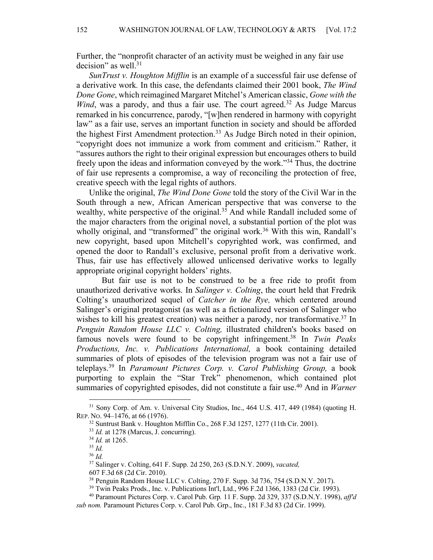Further, the "nonprofit character of an activity must be weighed in any fair use decision" as well. $31$ 

*SunTrust v. Houghton Mifflin* is an example of a successful fair use defense of a derivative work*.* In this case, the defendants claimed their 2001 book, *The Wind Done Gone*, which reimagined Margaret Mitchel's American classic, *Gone with the Wind*, was a parody, and thus a fair use. The court agreed.<sup>32</sup> As Judge Marcus remarked in his concurrence, parody, "[w]hen rendered in harmony with copyright law" as a fair use, serves an important function in society and should be afforded the highest First Amendment protection.<sup>33</sup> As Judge Birch noted in their opinion, "copyright does not immunize a work from comment and criticism." Rather, it "assures authors the right to their original expression but encourages others to build freely upon the ideas and information conveyed by the work."<sup>34</sup> Thus, the doctrine of fair use represents a compromise, a way of reconciling the protection of free, creative speech with the legal rights of authors.

Unlike the original, *The Wind Done Gone* told the story of the Civil War in the South through a new, African American perspective that was converse to the wealthy, white perspective of the original.<sup>35</sup> And while Randall included some of the major characters from the original novel, a substantial portion of the plot was wholly original, and "transformed" the original work.<sup>36</sup> With this win, Randall's new copyright, based upon Mitchell's copyrighted work, was confirmed, and opened the door to Randall's exclusive, personal profit from a derivative work. Thus, fair use has effectively allowed unlicensed derivative works to legally appropriate original copyright holders' rights.

But fair use is not to be construed to be a free ride to profit from unauthorized derivative works. In *Salinger v. Colting*, the court held that Fredrik Colting's unauthorized sequel of *Catcher in the Rye,* which centered around Salinger's original protagonist (as well as a fictionalized version of Salinger who wishes to kill his greatest creation) was neither a parody, nor transformative.<sup>37</sup> In *Penguin Random House LLC v. Colting,* illustrated children's books based on famous novels were found to be copyright infringement.38 In *Twin Peaks Productions, Inc. v. Publications International,* a book containing detailed summaries of plots of episodes of the television program was not a fair use of teleplays.39 In *Paramount Pictures Corp. v. Carol Publishing Group,* a book purporting to explain the "Star Trek" phenomenon, which contained plot summaries of copyrighted episodes, did not constitute a fair use.<sup>40</sup> And in *Warner* 

<sup>31</sup> Sony Corp. of Am. v. Universal City Studios, Inc., 464 U.S. 417, 449 (1984) (quoting H. REP. NO. 94–1476, at 66 (1976).

<sup>32</sup> Suntrust Bank v. Houghton Mifflin Co., 268 F.3d 1257, 1277 (11th Cir. 2001). 33 *Id.* at 1278 (Marcus, J. concurring).

<sup>34</sup> *Id.* at 1265. 35 *Id.* 

<sup>36</sup> *Id.* 

<sup>37</sup> Salinger v. Colting, 641 F. Supp. 2d 250, 263 (S.D.N.Y. 2009), *vacated,*

<sup>607</sup> F.3d 68 (2d Cir. 2010).

<sup>38</sup> Penguin Random House LLC v. Colting, 270 F. Supp. 3d 736, 754 (S.D.N.Y. 2017).

<sup>39</sup> Twin Peaks Prods., Inc. v. Publications Int'l, Ltd., 996 F.2d 1366, 1383 (2d Cir. 1993).

<sup>40</sup> Paramount Pictures Corp. v. Carol Pub. Grp*.* 11 F. Supp. 2d 329, 337 (S.D.N.Y. 1998), *aff'd sub nom.* Paramount Pictures Corp. v. Carol Pub. Grp., Inc., 181 F.3d 83 (2d Cir. 1999).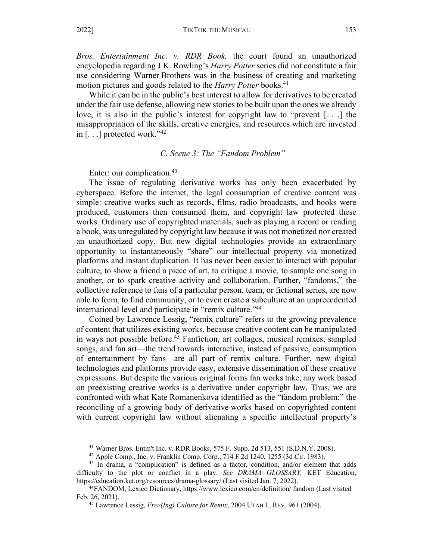*Bros. Entertainment Inc. v. RDR Book,* the court found an unauthorized encyclopedia regarding J.K. Rowling's *Harry Potter* series did not constitute a fair use considering Warner Brothers was in the business of creating and marketing motion pictures and goods related to the *Harry Potter* books.<sup>41</sup>

While it can be in the public's best interest to allow for derivatives to be created under the fair use defense, allowing new stories to be built upon the ones we already love, it is also in the public's interest for copyright law to "prevent [. . .] the misappropriation of the skills, creative energies, and resources which are invested in  $\lceil \ldots \rceil$  protected work."<sup>42</sup>

#### *C. Scene 3: The "Fandom Problem"*

Enter: our complication.<sup>43</sup>

The issue of regulating derivative works has only been exacerbated by cyberspace. Before the internet, the legal consumption of creative content was simple: creative works such as records, films, radio broadcasts, and books were produced, customers then consumed them, and copyright law protected these works. Ordinary use of copyrighted materials, such as playing a record or reading a book, was unregulated by copyright law because it was not monetized nor created an unauthorized copy. But new digital technologies provide an extraordinary opportunity to instantaneously "share" our intellectual property via monetized platforms and instant duplication. It has never been easier to interact with popular culture, to show a friend a piece of art, to critique a movie, to sample one song in another, or to spark creative activity and collaboration. Further, "fandoms," the collective reference to fans of a particular person, team, or fictional series, are now able to form, to find community, or to even create a subculture at an unprecedented international level and participate in "remix culture."<sup>44</sup>

Coined by Lawrence Lessig, "remix culture" refers to the growing prevalence of content that utilizes existing works, because creative content can be manipulated in ways not possible before.<sup>45</sup> Fanfiction, art collages, musical remixes, sampled songs, and fan art—the trend towards interactive, instead of passive, consumption of entertainment by fans—are all part of remix culture. Further, new digital technologies and platforms provide easy, extensive dissemination of these creative expressions. But despite the various original forms fan works take, any work based on preexisting creative works is a derivative under copyright law. Thus, we are confronted with what Kate Romanenkova identified as the "fandom problem;" the reconciling of a growing body of derivative works based on copyrighted content with current copyright law without alienating a specific intellectual property's

<sup>&</sup>lt;sup>41</sup> Warner Bros. Entm't Inc. v. RDR Books, 575 F. Supp. 2d 513, 551 (S.D.N.Y. 2008).<br><sup>42</sup> Apple Comp., Inc. v. Franklin Comp. Corp., 714 F.2d 1240, 1255 (3d Cir. 1983).

 $43$  In drama, a "complication" is defined as a factor, condition, and/or element that adds difficulty to the plot or conflict in a play. *See DRAMA GLOSSARY,* KET Education, https://education.ket.org/resources/drama-glossary/ (Last visited Jan. 7, 2022).

<sup>44</sup>FANDOM, Lexico Dictionary, https://www.lexico.com/en/definition/ fandom (Last visited Feb. 26, 2021).

<sup>45</sup> Lawrence Lessig, *Free(Ing) Culture for Remix*, 2004 UTAH L. REV. 961 (2004).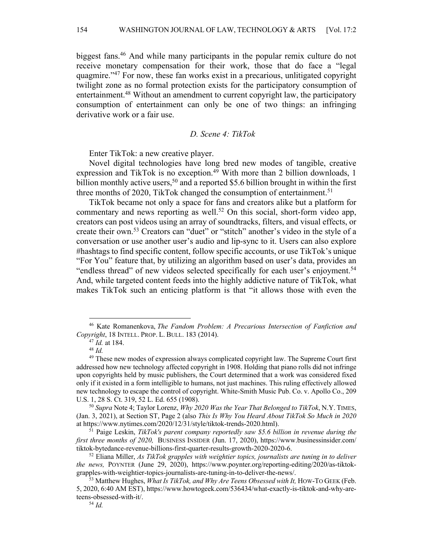biggest fans.46 And while many participants in the popular remix culture do not receive monetary compensation for their work, those that do face a "legal quagmire."47 For now, these fan works exist in a precarious, unlitigated copyright twilight zone as no formal protection exists for the participatory consumption of entertainment.<sup>48</sup> Without an amendment to current copyright law, the participatory consumption of entertainment can only be one of two things: an infringing derivative work or a fair use.

## *D. Scene 4: TikTok*

Enter TikTok: a new creative player.

Novel digital technologies have long bred new modes of tangible, creative expression and TikTok is no exception.<sup>49</sup> With more than 2 billion downloads, 1 billion monthly active users,<sup>50</sup> and a reported \$5.6 billion brought in within the first three months of 2020, TikTok changed the consumption of entertainment.<sup>51</sup>

TikTok became not only a space for fans and creators alike but a platform for commentary and news reporting as well.<sup>52</sup> On this social, short-form video app, creators can post videos using an array of soundtracks, filters, and visual effects, or create their own.53 Creators can "duet" or "stitch" another's video in the style of a conversation or use another user's audio and lip-sync to it. Users can also explore #hashtags to find specific content, follow specific accounts, or use TikTok's unique "For You" feature that, by utilizing an algorithm based on user's data, provides an "endless thread" of new videos selected specifically for each user's enjoyment.<sup>54</sup> And, while targeted content feeds into the highly addictive nature of TikTok, what makes TikTok such an enticing platform is that "it allows those with even the

<sup>46</sup> Kate Romanenkova, *The Fandom Problem: A Precarious Intersection of Fanfiction and Copyright*, 18 INTELL. PROP. L. BULL. 183 (2014).

<sup>47</sup> *Id.* at 184.

<sup>48</sup> *Id.* 

<sup>&</sup>lt;sup>49</sup> These new modes of expression always complicated copyright law. The Supreme Court first addressed how new technology affected copyright in 1908. Holding that piano rolls did not infringe upon copyrights held by music publishers, the Court determined that a work was considered fixed only if it existed in a form intelligible to humans, not just machines. This ruling effectively allowed new technology to escape the control of copyright. White-Smith Music Pub. Co. v. Apollo Co., 209 U.S. 1, 28 S. Ct. 319, 52 L. Ed. 655 (1908).<br><sup>50</sup> *Supra* Note 4; Taylor Lorenz, *Why 2020 Was the Year That Belonged to TikTok*, N.Y. TIMES,

<sup>(</sup>Jan. 3, 2021), at Section ST, Page 2 (also *This Is Why You Heard About TikTok So Much in 2020* at https://www.nytimes.com/2020/12/31/style/tiktok-trends-2020.html). 51 Paige Leskin, *TikTok's parent company reportedly saw \$5.6 billion in revenue during the* 

*first three months of 2020, BUSINESS INSIDER (Jun. 17, 2020), https://www.businessinsider.com/* tiktok-bytedance-revenue-billions-first-quarter-results-growth-2020-2020-6.

 $52$  Eliana Miller, As TikTok grapples with weightier topics, journalists are tuning in to deliver *the news,* POYNTER (June 29, 2020), https://www.poynter.org/reporting-editing/2020/as-tiktokgrapples-with-weightier-topics-journalists-are-tuning-in-to-deliver-the-news/.

<sup>&</sup>lt;sup>53</sup> Matthew Hughes, *What Is TikTok, and Why Are Teens Obsessed with It*, HOW-TO GEEK (Feb. 5, 2020, 6:40 AM EST), https://www.howtogeek.com/536434/what-exactly-is-tiktok-and-why-areteens-obsessed-with-it/. 54 *Id.*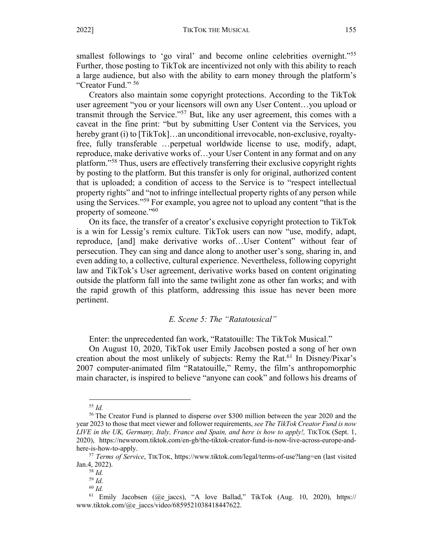smallest followings to 'go viral' and become online celebrities overnight."<sup>55</sup> Further, those posting to TikTok are incentivized not only with this ability to reach a large audience, but also with the ability to earn money through the platform's "Creator Fund." 56

Creators also maintain some copyright protections. According to the TikTok user agreement "you or your licensors will own any User Content…you upload or transmit through the Service."57 But, like any user agreement, this comes with a caveat in the fine print: "but by submitting User Content via the Services, you hereby grant (i) to [TikTok]…an unconditional irrevocable, non-exclusive, royaltyfree, fully transferable …perpetual worldwide license to use, modify, adapt, reproduce, make derivative works of…your User Content in any format and on any platform."58 Thus, users are effectively transferring their exclusive copyright rights by posting to the platform. But this transfer is only for original, authorized content that is uploaded; a condition of access to the Service is to "respect intellectual property rights" and "not to infringe intellectual property rights of any person while using the Services."<sup>59</sup> For example, you agree not to upload any content "that is the property of someone."<sup>60</sup>

On its face, the transfer of a creator's exclusive copyright protection to TikTok is a win for Lessig's remix culture. TikTok users can now "use, modify, adapt, reproduce, [and] make derivative works of…User Content" without fear of persecution. They can sing and dance along to another user's song, sharing in, and even adding to, a collective, cultural experience. Nevertheless, following copyright law and TikTok's User agreement, derivative works based on content originating outside the platform fall into the same twilight zone as other fan works; and with the rapid growth of this platform, addressing this issue has never been more pertinent.

## *E. Scene 5: The "Ratatousical"*

Enter: the unprecedented fan work, "Ratatouille: The TikTok Musical."

On August 10, 2020, TikTok user Emily Jacobsen posted a song of her own creation about the most unlikely of subjects: Remy the Rat. <sup>61</sup> In Disney/Pixar's 2007 computer-animated film "Ratatouille," Remy, the film's anthropomorphic main character, is inspired to believe "anyone can cook" and follows his dreams of

<sup>55</sup> *Id.* 

<sup>56</sup> The Creator Fund is planned to disperse over \$300 million between the year 2020 and the year 2023 to those that meet viewer and follower requirements, *see The TikTok Creator Fund is now LIVE in the UK, Germany, Italy, France and Spain, and here is how to apply!, TIKTOK (Sept. 1,* 2020), https://newsroom.tiktok.com/en-gb/the-tiktok-creator-fund-is-now-live-across-europe-and-

here-is-how-to-apply. 57 *Terms of Service*, TIKTOK, https://www.tiktok.com/legal/terms-of-use?lang=en (last visited Jan.4, 2022). 58 *Id.*

<sup>59</sup> *Id.* 

<sup>60</sup> *Id.*

 $61$  Emily Jacobsen ( $Qe$  jaccs), "A love Ballad," TikTok (Aug. 10, 2020), https:// www.tiktok.com/@e\_jaccs/video/6859521038418447622.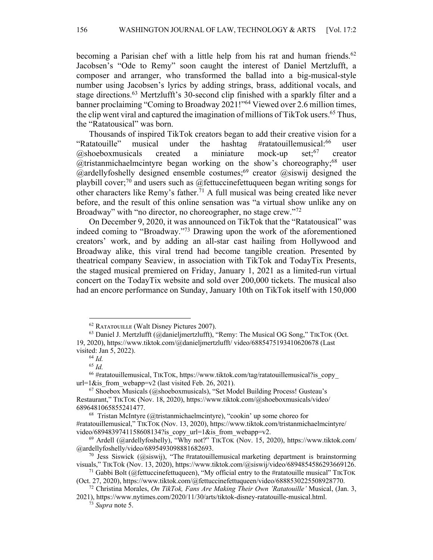becoming a Parisian chef with a little help from his rat and human friends.<sup>62</sup> Jacobsen's "Ode to Remy" soon caught the interest of Daniel Mertzlufft, a composer and arranger, who transformed the ballad into a big-musical-style number using Jacobsen's lyrics by adding strings, brass, additional vocals, and stage directions.63 Mertzlufft's 30-second clip finished with a sparkly filter and a banner proclaiming "Coming to Broadway 2021!"64 Viewed over 2.6 million times, the clip went viral and captured the imagination of millions of TikTok users.<sup>65</sup> Thus, the "Ratatousical" was born.

Thousands of inspired TikTok creators began to add their creative vision for a "Ratatouille" musical under the hashtag #ratatouillemusical:<sup>66</sup> user  $@$ shoeboxmusicals created a miniature mock-up set;  $67$  creator  $@$ tristanmichaelmcintyre began working on the show's choreography;<sup>68</sup> user  $@$ ardellyfoshelly designed ensemble costumes;<sup>69</sup> creator  $@$ siswij designed the playbill cover;<sup>70</sup> and users such as @fettuccinefettuqueen began writing songs for other characters like Remy's father.<sup>71</sup> A full musical was being created like never before, and the result of this online sensation was "a virtual show unlike any on Broadway" with "no director, no choreographer, no stage crew."<sup>72</sup>

On December 9, 2020, it was announced on TikTok that the "Ratatousical" was indeed coming to "Broadway."73 Drawing upon the work of the aforementioned creators' work, and by adding an all-star cast hailing from Hollywood and Broadway alike, this viral trend had become tangible creation. Presented by theatrical company Seaview, in association with TikTok and TodayTix Presents, the staged musical premiered on Friday, January 1, 2021 as a limited-run virtual concert on the TodayTix website and sold over 200,000 tickets. The musical also had an encore performance on Sunday, January 10th on TikTok itself with 150,000

<sup>&</sup>lt;sup>62</sup> RATATOUILLE (Walt Disney Pictures 2007).<br><sup>63</sup> Daniel J. Mertzlufft (@danieljmertzlufft), "Remy: The Musical OG Song," TIKTOK (Oct. 19, 2020), https://www.tiktok.com/@danieljmertzlufft/ video/6885475193410620678 (Last visited: Jan 5, 2022).

<sup>64</sup> *Id.* 

<sup>65</sup> *Id.*

 $66$  #ratatouillemusical, TIKTOK, https://www.tiktok.com/tag/ratatouillemusical?is\_copy url=1&is from webapp=v2 (last visited Feb. 26, 2021).

<sup>67</sup> Shoebox Musicals (@shoeboxmusicals), "Set Model Building Process! Gusteau's Restaurant," TIKTOK (Nov. 18, 2020), https://www.tiktok.com/@shoeboxmusicals/video/ 6896481065855241477.

 $68$  Tristan McIntyre (@tristanmichaelmcintyre), "cookin' up some choreo for #ratatouillemusical," TIKTOK (Nov. 13, 2020), https://www.tiktok.com/tristanmichaelmcintyre/ video/6894839741158608134?is copy url=1&is from webapp=v2.

<sup>&</sup>lt;sup>69</sup> Ardell (@ardellyfoshelly), "Why not?" TIKTOK (Nov. 15, 2020), https://www.tiktok.com/<br>@ardellyfoshelly/video/6895493098881682693.

<sup>&</sup>lt;sup>70</sup> Jess Siswick (@siswij), "The #ratatouillemusical marketing department is brainstorming visuals," TIKTOk (Nov. 13, 2020), https://www.tiktok.com/@siswij/video/6894854586293669126.

<sup>&</sup>lt;sup>71</sup> Gabbi Bolt (@fettuccinefettuqueen), "My official entry to the #ratatouille musical" TIKTOK (Oct. 27, 2020), https://www.tiktok.com/@fettuccinefettuqueen/video/6888530225508928770.

<sup>72</sup> Christina Morales, *On TikTok, Fans Are Making Their Own 'Ratatouille'* Musical, (Jan. 3, 2021), https://www.nytimes.com/2020/11/30/arts/tiktok-disney-ratatouille-musical.html.

<sup>73</sup> *Supra* note 5.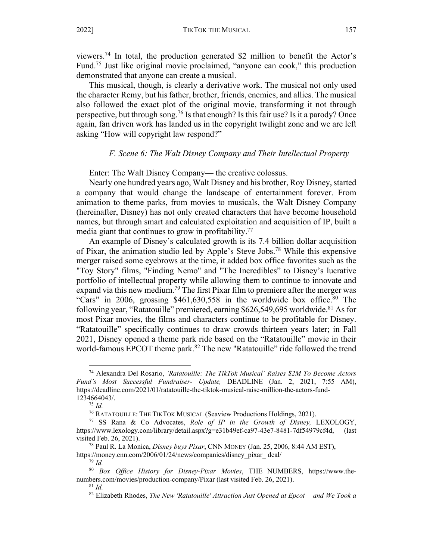viewers.74 In total, the production generated \$2 million to benefit the Actor's Fund.75 Just like original movie proclaimed, "anyone can cook," this production demonstrated that anyone can create a musical.

This musical, though, is clearly a derivative work. The musical not only used the character Remy, but his father, brother, friends, enemies, and allies. The musical also followed the exact plot of the original movie, transforming it not through perspective, but through song.<sup>76</sup> Is that enough? Is this fair use? Is it a parody? Once again, fan driven work has landed us in the copyright twilight zone and we are left asking "How will copyright law respond?"

#### *F. Scene 6: The Walt Disney Company and Their Intellectual Property*

Enter: The Walt Disney Company**—** the creative colossus.

Nearly one hundred years ago, Walt Disney and his brother, Roy Disney, started a company that would change the landscape of entertainment forever. From animation to theme parks, from movies to musicals, the Walt Disney Company (hereinafter, Disney) has not only created characters that have become household names, but through smart and calculated exploitation and acquisition of IP, built a media giant that continues to grow in profitability.<sup>77</sup>

An example of Disney's calculated growth is its 7.4 billion dollar acquisition of Pixar, the animation studio led by Apple's Steve Jobs.78 While this expensive merger raised some eyebrows at the time, it added box office favorites such as the "Toy Story" films, "Finding Nemo" and "The Incredibles" to Disney's lucrative portfolio of intellectual property while allowing them to continue to innovate and expand via this new medium.<sup>79</sup> The first Pixar film to premiere after the merger was "Cars" in 2006, grossing  $$461,630,558$  in the worldwide box office.<sup>80</sup> The following year, "Ratatouille" premiered, earning \$626,549,695 worldwide.<sup>81</sup> As for most Pixar movies, the films and characters continue to be profitable for Disney. "Ratatouille" specifically continues to draw crowds thirteen years later; in Fall 2021, Disney opened a theme park ride based on the "Ratatouille" movie in their world-famous EPCOT theme park.<sup>82</sup> The new "Ratatouille" ride followed the trend

<sup>74</sup> Alexandra Del Rosario, *'Ratatouille: The TikTok Musical' Raises \$2M To Become Actors Fund's Most Successful Fundraiser- Update,* DEADLINE (Jan. 2, 2021, 7:55 AM), https://deadline.com/2021/01/ratatouille-the-tiktok-musical-raise-million-the-actors-fund-1234664043/.<br><sup>75</sup> *Id.*<br><sup>76</sup> RATATOUILLE: THE TIKTOK MUSICAL (Seaview Productions Holdings, 2021).

<sup>&</sup>lt;sup>77</sup> SS Rana & Co Advocates, Role of IP in the Growth of Disney, LEXOLOGY, https://www.lexology.com/library/detail.aspx?g=e31b49ef-ca97-43e7-8481-7df54979cf4d, (last visited Feb. 26, 2021). 78 Paul R. La Monica, *Disney buys Pixar*, CNN MONEY (Jan. 25, 2006, 8:44 AM EST),

https://money.cnn.com/2006/01/24/news/companies/disney\_pixar\_ deal/

<sup>79</sup> *Id.* 

<sup>80</sup> *Box Office History for Disney-Pixar Movies*, THE NUMBERS, https://www.thenumbers.com/movies/production-company/Pixar (last visited Feb. 26, 2021). 81 *Id.* 

<sup>82</sup> Elizabeth Rhodes, *The New 'Ratatouille' Attraction Just Opened at Epcot— and We Took a*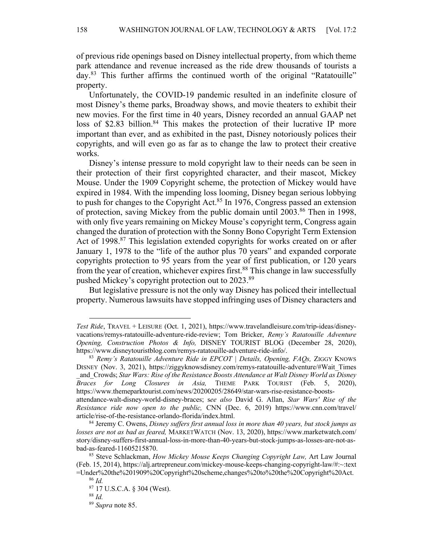of previous ride openings based on Disney intellectual property, from which theme park attendance and revenue increased as the ride drew thousands of tourists a day.<sup>83</sup> This further affirms the continued worth of the original "Ratatouille" property.

Unfortunately, the COVID-19 pandemic resulted in an indefinite closure of most Disney's theme parks, Broadway shows, and movie theaters to exhibit their new movies. For the first time in 40 years, Disney recorded an annual GAAP net loss of \$2.83 billion.<sup>84</sup> This makes the protection of their lucrative IP more important than ever, and as exhibited in the past, Disney notoriously polices their copyrights, and will even go as far as to change the law to protect their creative works.

Disney's intense pressure to mold copyright law to their needs can be seen in their protection of their first copyrighted character, and their mascot, Mickey Mouse. Under the 1909 Copyright scheme, the protection of Mickey would have expired in 1984. With the impending loss looming, Disney began serious lobbying to push for changes to the Copyright Act.<sup>85</sup> In 1976, Congress passed an extension of protection, saving Mickey from the public domain until 2003.<sup>86</sup> Then in 1998, with only five years remaining on Mickey Mouse's copyright term, Congress again changed the duration of protection with the Sonny Bono Copyright Term Extension Act of 1998.<sup>87</sup> This legislation extended copyrights for works created on or after January 1, 1978 to the "life of the author plus 70 years" and expanded corporate copyrights protection to 95 years from the year of first publication, or 120 years from the year of creation, whichever expires first.<sup>88</sup> This change in law successfully pushed Mickey's copyright protection out to 2023.<sup>89</sup>

But legislative pressure is not the only way Disney has policed their intellectual property. Numerous lawsuits have stopped infringing uses of Disney characters and

*Test Ride*, TRAVEL + LEISURE (Oct. 1, 2021), https://www.travelandleisure.com/trip-ideas/disneyvacations/remys-ratatouille-adventure-ride-review; Tom Bricker, *Remy's Ratatouille Adventure Opening, Construction Photos & Info,* DISNEY TOURIST BLOG (December 28, 2020), https://www.disneytouristblog.com/remys-ratatouille-adventure-ride-info/.

<sup>83</sup> *Remy's Ratatouille Adventure Ride in EPCOT | Details, Opening, FAQs,* ZIGGY KNOWS DISNEY (Nov. 3, 2021), https://ziggyknowsdisney.com/remys-ratatouille-adventure/#Wait\_Times \_and\_Crowds; *Star Wars: Rise of the Resistance Boosts Attendance at Walt Disney World as Disney Braces for Long Closures in Asia,* THEME PARK TOURIST (Feb. 5, 2020), https://www.themeparktourist.com/news/20200205/28649/star-wars-rise-resistance-boostsattendance-walt-disney-world-disney-braces; s*ee also* David G. Allan, *Star Wars' Rise of the* 

*Resistance ride now open to the public,* CNN (Dec. 6, 2019) https://www.cnn.com/travel/ article/rise-of-the-resistance-orlando-florida/index.html.

<sup>84</sup> Jeremy C. Owens, *Disney suffers first annual loss in more than 40 years, but stock jumps as losses are not as bad as feared,* MARKETWATCH (Nov. 13, 2020), https://www.marketwatch.com/ story/disney-suffers-first-annual-loss-in-more-than-40-years-but-stock-jumps-as-losses-are-not-asbad-as-feared-11605215870.<br><sup>85</sup> Steve Schlackman, *How Mickey Mouse Keeps Changing Copyright Law*, Art Law Journal

<sup>(</sup>Feb. 15, 2014), https://alj.artrepreneur.com/mickey-mouse-keeps-changing-copyright-law/#:~:text =Under%20the%201909%20Copyright%20scheme,changes%20to%20the%20Copyright%20Act.

<sup>86</sup> *Id.* 

<sup>87</sup> 17 U.S.C.A. § 304 (West).

<sup>88</sup> *Id.* 

<sup>89</sup> *Supra* note 85.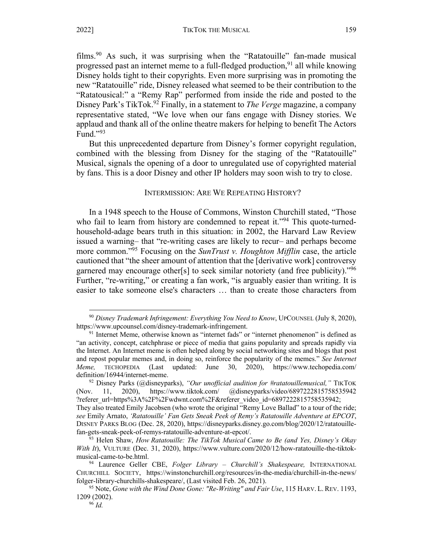films.90 As such, it was surprising when the "Ratatouille" fan-made musical progressed past an internet meme to a full-fledged production,  $91$  all while knowing Disney holds tight to their copyrights. Even more surprising was in promoting the new "Ratatouille" ride, Disney released what seemed to be their contribution to the "Ratatousical:" a "Remy Rap" performed from inside the ride and posted to the Disney Park's TikTok.92 Finally, in a statement to *The Verge* magazine, a company representative stated, "We love when our fans engage with Disney stories. We applaud and thank all of the online theatre makers for helping to benefit The Actors Fund." $93$ 

But this unprecedented departure from Disney's former copyright regulation, combined with the blessing from Disney for the staging of the "Ratatouille" Musical, signals the opening of a door to unregulated use of copyrighted material by fans. This is a door Disney and other IP holders may soon wish to try to close.

#### INTERMISSION: ARE WE REPEATING HISTORY?

In a 1948 speech to the House of Commons, Winston Churchill stated, "Those who fail to learn from history are condemned to repeat it."<sup>94</sup> This quote-turnedhousehold-adage bears truth in this situation: in 2002, the Harvard Law Review issued a warning*–* that "re-writing cases are likely to recur*–* and perhaps become more common."95 Focusing on the *SunTrust v. Houghton Mifflin* case, the article cautioned that "the sheer amount of attention that the [derivative work] controversy garnered may encourage other[s] to seek similar notoriety (and free publicity)."<sup>96</sup> Further, "re-writing," or creating a fan work, "is arguably easier than writing. It is easier to take someone else's characters … than to create those characters from

<sup>90</sup> *Disney Trademark Infringement: Everything You Need to Know*, UPCOUNSEL (July 8, 2020), https://www.upcounsel.com/disney-trademark-infringement.<br><sup>91</sup> Internet Meme, otherwise known as "internet fads" or "internet phenomenon" is defined as

<sup>&</sup>quot;an activity, concept, catchphrase or piece of media that gains popularity and spreads rapidly via the Internet. An Internet meme is often helped along by social networking sites and blogs that post and repost popular memes and, in doing so, reinforce the popularity of the memes." *See Internet Meme,* TECHOPEDIA (Last updated: June 30, 2020), https://www.techopedia.com/ definition/16944/internet-meme.

<sup>92</sup> Disney Parks (@disneyparks), *"Our unofficial audition for #ratatouillemusical,"* TIKTOK (Nov. 11, 2020), https://www.tiktok.com/ @disneyparks/video/6897222815758535942 ?referer\_url=https%3A%2F%2Fwdwnt.com%2F&referer\_video\_id=6897222815758535942; They also treated Emily Jacobsen (who wrote the original "Remy Love Ballad" to a tour of the ride; *see* Emily Arnato, *'Ratatouille' Fan Gets Sneak Peek of Remy's Ratatouille Adventure at EPCOT*, DISNEY PARKS BLOG (Dec. 28, 2020), https://disneyparks.disney.go.com/blog/2020/12/ratatouillefan-gets-sneak-peek-of-remys-ratatouille-adventure-at-epcot/.

<sup>93</sup> Helen Shaw, *How Ratatouille: The TikTok Musical Came to Be (and Yes, Disney's Okay With It*), VULTURE (Dec. 31, 2020), https://www.vulture.com/2020/12/how-ratatouille-the-tiktokmusical-came-to-be.html. 94 Laurence Geller CBE, *Folger Library – Churchill's Shakespeare,* INTERNATIONAL

CHURCHILL SOCIETY, https://winstonchurchill.org/resources/in-the-media/churchill-in-the-news/ folger-library-churchills-shakespeare/, (Last visited Feb. 26, 2021).

<sup>95</sup> Note, *Gone with the Wind Done Gone: "Re-Writing" and Fair Use*, 115 HARV. L. REV. 1193, 1209 (2002). <sup>96</sup> *Id.*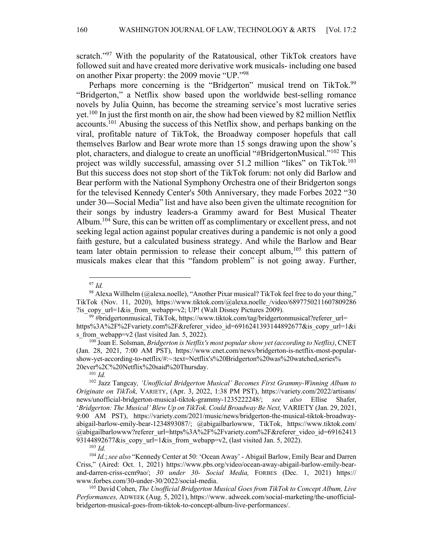scratch."<sup>97</sup> With the popularity of the Ratatousical, other TikTok creators have followed suit and have created more derivative work musicals- including one based on another Pixar property: the 2009 movie "UP."98

Perhaps more concerning is the "Bridgerton" musical trend on TikTok.<sup>99</sup> "Bridgerton," a Netflix show based upon the worldwide best-selling romance novels by Julia Quinn, has become the streaming service's most lucrative series yet.100 In just the first month on air, the show had been viewed by 82 million Netflix accounts.101 Abusing the success of this Netflix show, and perhaps banking on the viral, profitable nature of TikTok, the Broadway composer hopefuls that call themselves Barlow and Bear wrote more than 15 songs drawing upon the show's plot, characters, and dialogue to create an unofficial "#BridgertonMusical."102 This project was wildly successful, amassing over 51.2 million "likes" on TikTok.<sup>103</sup> But this success does not stop short of the TikTok forum: not only did Barlow and Bear perform with the National Symphony Orchestra one of their Bridgerton songs for the televised Kennedy Center's 50th Anniversary, they made Forbes 2022 "30 under 30**—**Social Media" list and have also been given the ultimate recognition for their songs by industry leaders-a Grammy award for Best Musical Theater Album.<sup>104</sup> Sure, this can be written off as complimentary or excellent press, and not seeking legal action against popular creatives during a pandemic is not only a good faith gesture, but a calculated business strategy. And while the Barlow and Bear team later obtain permission to release their concept album,<sup>105</sup> this pattern of musicals makes clear that this "fandom problem" is not going away. Further,

<sup>97</sup> *Id.* 

<sup>&</sup>lt;sup>98</sup> Alexa Willhelm (@alexa.noelle), "Another Pixar musical? TikTok feel free to do your thing," TikTok (Nov. 11, 2020), https://www.tiktok.com/@alexa.noelle\_/video/6897750211607809286 ?is\_copy\_url=1&is\_from\_webapp=v2; UP! (Walt Disney Pictures 2009).<br><sup>99</sup> #bridgertonmusical, TikTok, https://www.tiktok.com/tag/bridgertonmusical?referer\_url=

https%3A%2F%2Fvariety.com%2F&referer\_video\_id=6916241393144892677&is\_copy\_url=1&i s\_from\_webapp=v2 (last visited Jan. 5, 2022).<br><sup>100</sup> Joan E. Solsman, *Bridgerton is Netflix's most popular show yet (according to Netflix)*, CNET

<sup>(</sup>Jan. 28, 2021, 7:00 AM PST), https://www.cnet.com/news/bridgerton-is-netflix-most-popularshow-yet-according-to-netflix/#:~:text=Netflix's%20Bridgerton%20was%20watched,series% 20ever%2C%20Netflix%20said%20Thursday.

 $101$  *Id.* 

<sup>102</sup> Jazz Tangcay*, 'Unofficial Bridgerton Musical' Becomes First Grammy-Winning Album to Originate on TikTok,* VARIETY, (Apr. 3, 2022, 1:38 PM PST), https://variety.com/2022/artisans/ news/unofficial-bridgerton-musical-tiktok-grammy-1235222248/; *see also* Ellise Shafer, '*Bridgerton: The Musical' Blew Up on TikTok. Could Broadway Be Next, VARIETY (Jan. 29, 2021,* 9:00 AM PST), https://variety.com/2021/music/news/bridgerton-the-musical-tiktok-broadwayabigail-barlow-emily-bear-1234893087/; @abigailbarlowww, TikTok, https://www.tiktok.com/ @abigailbarlowww?referer\_url=https%3A%2F%2Fvariety.com%2F&referer\_video\_id=69162413 93144892677&is\_copy\_url=1&is\_from\_webapp=v2, (last visited Jan. 5, 2022). 103 *Id.* 

<sup>104</sup> *Id.*;*see also* "Kennedy Center at 50: 'Ocean Away' - Abigail Barlow, Emily Bear and Darren Criss," (Aired: Oct. 1, 2021) https://www.pbs.org/video/ocean-away-abigail-barlow-emily-bearand-darren-criss-ccm9ao/; *30 under 30- Social Media,* FORBES (Dec. 1, 2021) https:// www.forbes.com/30-under-30/2022/social-media.

<sup>105</sup> David Cohen, *The Unofficial Bridgerton Musical Goes from TikTok to Concept Album, Live Performances,* ADWEEK (Aug. 5, 2021), https://www. adweek.com/social-marketing/the-unofficialbridgerton-musical-goes-from-tiktok-to-concept-album-live-performances/.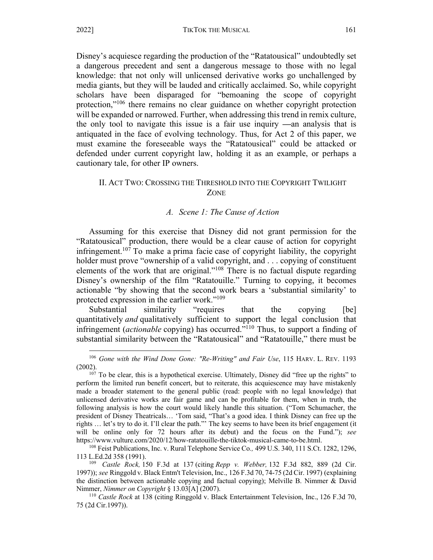Disney's acquiesce regarding the production of the "Ratatousical" undoubtedly set a dangerous precedent and sent a dangerous message to those with no legal knowledge: that not only will unlicensed derivative works go unchallenged by media giants, but they will be lauded and critically acclaimed. So, while copyright scholars have been disparaged for "bemoaning the scope of copyright protection,"<sup>106</sup> there remains no clear guidance on whether copyright protection will be expanded or narrowed. Further, when addressing this trend in remix culture, the only tool to navigate this issue is a fair use inquiry **—**an analysis that is antiquated in the face of evolving technology. Thus, for Act 2 of this paper, we must examine the foreseeable ways the "Ratatousical" could be attacked or defended under current copyright law, holding it as an example, or perhaps a cautionary tale, for other IP owners.

## II. ACT TWO: CROSSING THE THRESHOLD INTO THE COPYRIGHT TWILIGHT ZONE

#### *A. Scene 1: The Cause of Action*

Assuming for this exercise that Disney did not grant permission for the "Ratatousical" production, there would be a clear cause of action for copyright infringement.<sup>107</sup> To make a prima facie case of copyright liability, the copyright holder must prove "ownership of a valid copyright, and ... copying of constituent elements of the work that are original."<sup>108</sup> There is no factual dispute regarding Disney's ownership of the film "Ratatouille." Turning to copying, it becomes actionable "by showing that the second work bears a 'substantial similarity' to protected expression in the earlier work."109

Substantial similarity "requires that the copying [be] quantitatively *and* qualitatively sufficient to support the legal conclusion that infringement (*actionable* copying) has occurred."110 Thus, to support a finding of substantial similarity between the "Ratatousical" and "Ratatouille," there must be

<sup>106</sup> *Gone with the Wind Done Gone: "Re-Writing" and Fair Use*, 115 HARV. L. REV. 1193 (2002).

 $107$  To be clear, this is a hypothetical exercise. Ultimately, Disney did "free up the rights" to perform the limited run benefit concert, but to reiterate, this acquiescence may have mistakenly made a broader statement to the general public (read: people with no legal knowledge) that unlicensed derivative works are fair game and can be profitable for them, when in truth, the following analysis is how the court would likely handle this situation. ("Tom Schumacher, the president of Disney Theatricals… 'Tom said, "That's a good idea. I think Disney can free up the rights … let's try to do it. I'll clear the path."' The key seems to have been its brief engagement (it will be online only for 72 hours after its debut) and the focus on the Fund."); *see*  https://www.vulture.com/2020/12/how-ratatouille-the-tiktok-musical-came-to-be.html.

<sup>108</sup> Feist Publications, Inc. v. Rural Telephone Service Co*.,* 499 U.S. 340, 111 S.Ct. 1282, 1296, 113 L.Ed.2d 358 (1991).

<sup>109</sup> *Castle Rock,* 150 F.3d at 137 (citing *Repp v. Webber,* 132 F.3d 882, 889 (2d Cir. 1997)); *see* Ringgold v. Black Entm't Television, Inc., 126 F.3d 70, 74-75 (2d Cir. 1997) (explaining the distinction between actionable copying and factual copying); Melville B. Nimmer & David Nimmer, *Nimmer on Copyright* § 13.03[A] (2007).

<sup>110</sup> *Castle Rock* at 138 (citing Ringgold v. Black Entertainment Television, Inc., 126 F.3d 70, 75 (2d Cir.1997)).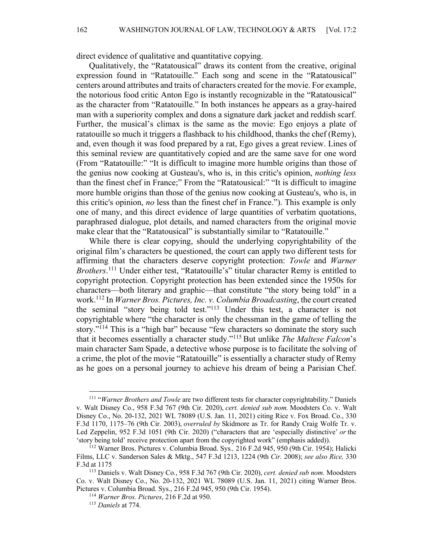direct evidence of qualitative and quantitative copying.

Qualitatively, the "Ratatousical" draws its content from the creative, original expression found in "Ratatouille." Each song and scene in the "Ratatousical" centers around attributes and traits of characters created for the movie. For example, the notorious food critic Anton Ego is instantly recognizable in the "Ratatousical" as the character from "Ratatouille." In both instances he appears as a gray-haired man with a superiority complex and dons a signature dark jacket and reddish scarf. Further, the musical's climax is the same as the movie: Ego enjoys a plate of ratatouille so much it triggers a flashback to his childhood, thanks the chef (Remy), and, even though it was food prepared by a rat, Ego gives a great review. Lines of this seminal review are quantitatively copied and are the same save for one word (From "Ratatouille:" "It is difficult to imagine more humble origins than those of the genius now cooking at Gusteau's, who is, in this critic's opinion, *nothing less*  than the finest chef in France;" From the "Ratatousical:" "It is difficult to imagine more humble origins than those of the genius now cooking at Gusteau's, who is, in this critic's opinion, *no* less than the finest chef in France."). This example is only one of many, and this direct evidence of large quantities of verbatim quotations, paraphrased dialogue, plot details, and named characters from the original movie make clear that the "Ratatousical" is substantially similar to "Ratatouille."

While there is clear copying, should the underlying copyrightability of the original film's characters be questioned, the court can apply two different tests for affirming that the characters deserve copyright protection: *Towle* and *Warner Brothers*. <sup>111</sup> Under either test, "Ratatouille's" titular character Remy is entitled to copyright protection. Copyright protection has been extended since the 1950s for characters—both literary and graphic—that constitute "the story being told" in a work.112 In *Warner Bros. Pictures, Inc. v. Columbia Broadcasting*, the court created the seminal "story being told test."113 Under this test, a character is not copyrightable where "the character is only the chessman in the game of telling the story."<sup>114</sup> This is a "high bar" because "few characters so dominate the story such that it becomes essentially a character study."115 But unlike *The Maltese Falcon*'s main character Sam Spade, a detective whose purpose is to facilitate the solving of a crime, the plot of the movie "Ratatouille" is essentially a character study of Remy as he goes on a personal journey to achieve his dream of being a Parisian Chef.

<sup>111</sup> "*Warner Brothers and Towle* are two different tests for character copyrightability." Daniels v. Walt Disney Co., 958 F.3d 767 (9th Cir. 2020), *cert. denied sub nom.* Moodsters Co. v. Walt Disney Co., No. 20-132, 2021 WL 78089 (U.S. Jan. 11, 2021) citing Rice v. Fox Broad. Co., 330 F.3d 1170, 1175–76 (9th Cir. 2003), *overruled by* Skidmore as Tr. for Randy Craig Wolfe Tr. v. Led Zeppelin, 952 F.3d 1051 (9th Cir. 2020) ("characters that are 'especially distinctive' *or* the 'story being told' receive protection apart from the copyrighted work" (emphasis added)).

<sup>112</sup> Warner Bros. Pictures v. Columbia Broad. Sys*.,* 216 F.2d 945, 950 (9th Cir. 1954); Halicki Films, LLC v. Sanderson Sales & Mktg., 547 F.3d 1213, 1224 (9th *Cir.* 2008); *see also Rice,* 330 F.3d at 1175 113 Daniels v. Walt Disney Co*.*, 958 F.3d 767 (9th Cir. 2020), *cert. denied sub nom.* Moodsters

Co. v. Walt Disney Co., No. 20-132, 2021 WL 78089 (U.S. Jan. 11, 2021) citing Warner Bros. Pictures v. Columbia Broad. Sys., 216 F.2d 945, 950 (9th Cir. 1954).

<sup>114</sup> *Warner Bros. Pictures*, 216 F.2d at 950.

<sup>115</sup> *Daniels* at 774.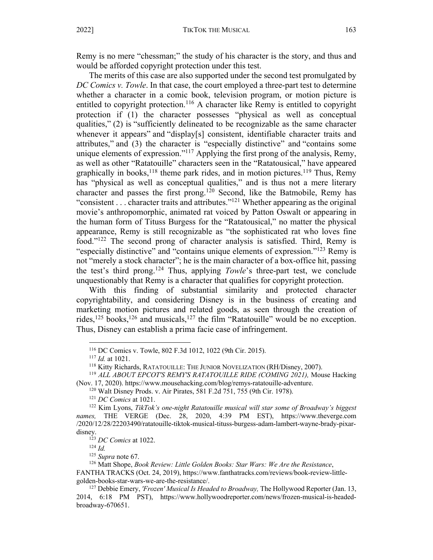Remy is no mere "chessman;" the study of his character is the story, and thus and would be afforded copyright protection under this test.

The merits of this case are also supported under the second test promulgated by *DC Comics v. Towle*. In that case, the court employed a three-part test to determine whether a character in a comic book, television program, or motion picture is entitled to copyright protection.<sup>116</sup> A character like Remy is entitled to copyright protection if (1) the character possesses "physical as well as conceptual qualities," (2) is "sufficiently delineated to be recognizable as the same character whenever it appears" and "display[s] consistent, identifiable character traits and attributes," and (3) the character is "especially distinctive" and "contains some unique elements of expression."117 Applying the first prong of the analysis, Remy, as well as other "Ratatouille" characters seen in the "Ratatousical," have appeared graphically in books,  $118$  theme park rides, and in motion pictures.  $119$  Thus, Remy has "physical as well as conceptual qualities," and is thus not a mere literary character and passes the first prong.120 Second, like the Batmobile, Remy has "consistent . . . character traits and attributes."121 Whether appearing as the original movie's anthropomorphic, animated rat voiced by Patton Oswalt or appearing in the human form of Tituss Burgess for the "Ratatousical," no matter the physical appearance, Remy is still recognizable as "the sophisticated rat who loves fine food."122 The second prong of character analysis is satisfied. Third, Remy is "especially distinctive" and "contains unique elements of expression."123 Remy is not "merely a stock character"; he is the main character of a box-office hit, passing the test's third prong.124 Thus, applying *Towle*'s three-part test, we conclude unquestionably that Remy is a character that qualifies for copyright protection.

With this finding of substantial similarity and protected character copyrightability, and considering Disney is in the business of creating and marketing motion pictures and related goods, as seen through the creation of rides,  $^{125}$  books,  $^{126}$  and musicals,  $^{127}$  the film "Ratatouille" would be no exception. Thus, Disney can establish a prima facie case of infringement.

<sup>116</sup> DC Comics v. Towle, 802 F.3d 1012, 1022 (9th Cir. 2015).

<sup>&</sup>lt;sup>117</sup> *Id.* at 1021.<br><sup>118</sup> Kitty Richards, RATATOUILLE: THE JUNIOR NOVELIZATION (RH/Disney, 2007).

<sup>&</sup>lt;sup>119</sup> ALL ABOUT EPCOT'S REMY'S RATATOUILLE RIDE (COMING 2021), Mouse Hacking (Nov. 17, 2020). https://www.mousehacking.com/blog/remys-ratatouille-adventure. 120 Walt Disney Prods. v. Air Pirates, 581 F.2d 751, 755 (9th Cir. 1978).

<sup>121</sup> *DC Comics* at 1021.

<sup>122</sup> Kim Lyons, *TikTok's one-night Ratatouille musical will star some of Broadway's biggest names,* THE VERGE (Dec. 28, 2020, 4:39 PM EST), https://www.theverge.com /2020/12/28/22203490/ratatouille-tiktok-musical-tituss-burgess-adam-lambert-wayne-brady-pixardisney.<br><sup>123</sup> *DC Comics* at 1022.<br><sup>124</sup> *Id.*<br><sup>125</sup> *Supra* note 67.

<sup>&</sup>lt;sup>126</sup> Matt Shope, *Book Review: Little Golden Books: Star Wars: We Are the Resistance*,

FANTHA TRACKS (Oct. 24, 2019), https://www.fanthatracks.com/reviews/book-review-littlegolden-books-star-wars-we-are-the-resistance/.

<sup>127</sup> Debbie Emery, *'Frozen' Musical Is Headed to Broadway,* The Hollywood Reporter (Jan. 13, 2014, 6:18 PM PST), https://www.hollywoodreporter.com/news/frozen-musical-is-headedbroadway-670651.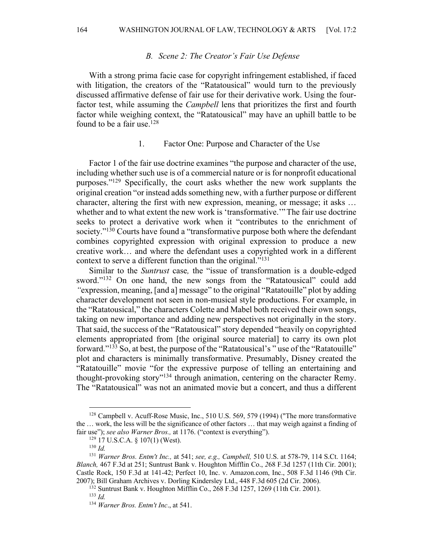#### *B. Scene 2: The Creator's Fair Use Defense*

With a strong prima facie case for copyright infringement established, if faced with litigation, the creators of the "Ratatousical" would turn to the previously discussed affirmative defense of fair use for their derivative work. Using the fourfactor test, while assuming the *Campbell* lens that prioritizes the first and fourth factor while weighing context, the "Ratatousical" may have an uphill battle to be found to be a fair use. $128$ 

#### 1. Factor One: Purpose and Character of the Use

Factor 1 of the fair use doctrine examines "the purpose and character of the use, including whether such use is of a commercial nature or is for nonprofit educational purposes."129 Specifically, the court asks whether the new work supplants the original creation "or instead adds something new, with a further purpose or different character, altering the first with new expression, meaning, or message; it asks … whether and to what extent the new work is 'transformative.'"The fair use doctrine seeks to protect a derivative work when it "contributes to the enrichment of society."<sup>130</sup> Courts have found a "transformative purpose both where the defendant combines copyrighted expression with original expression to produce a new creative work… and where the defendant uses a copyrighted work in a different context to serve a different function than the original."<sup>131</sup>

Similar to the *Suntrust* case*,* the "issue of transformation is a double-edged sword."<sup>132</sup> On one hand, the new songs from the "Ratatousical" could add *"*expression, meaning, [and a] message" to the original "Ratatouille" plot by adding character development not seen in non-musical style productions. For example, in the "Ratatousical," the characters Colette and Mabel both received their own songs, taking on new importance and adding new perspectives not originally in the story. That said, the success of the "Ratatousical" story depended "heavily on copyrighted elements appropriated from [the original source material] to carry its own plot forward."133 So, at best, the purpose of the "Ratatousical's " use of the "Ratatouille" plot and characters is minimally transformative. Presumably, Disney created the "Ratatouille" movie "for the expressive purpose of telling an entertaining and thought-provoking story"134 through animation, centering on the character Remy. The "Ratatousical" was not an animated movie but a concert, and thus a different

<sup>&</sup>lt;sup>128</sup> Campbell v. Acuff-Rose Music, Inc., 510 U.S. 569, 579 (1994) ("The more transformative the … work, the less will be the significance of other factors … that may weigh against a finding of fair use"); *see also Warner Bros.,* at 1176. ("context is everything").

<sup>129</sup> 17 U.S.C.A. § 107(1) (West).

<sup>130</sup> *Id.* 

<sup>131</sup> *Warner Bros. Entm't Inc.,* at 541; *see, e.g., Campbell,* 510 U.S. at 578-79, 114 S.Ct. 1164; *Blanch,* 467 F.3d at 251; Suntrust Bank v. Houghton Mifflin Co., *2*68 F.3d 1257 (11th Cir. 2001); Castle Rock, 150 F.3d at 141-42; Perfect 10, Inc. v. Amazon.com, Inc., 508 F.3d 1146 (9th Cir. 2007); Bill Graham Archives v. Dorling Kindersley Ltd., 448 F.3d 605 (2d Cir. 2006).

<sup>132</sup> Suntrust Bank v. Houghton Mifflin Co., 268 F.3d 1257, 1269 (11th Cir. 2001).

<sup>133</sup> *Id.* 

<sup>134</sup> *Warner Bros. Entm't Inc*., at 541.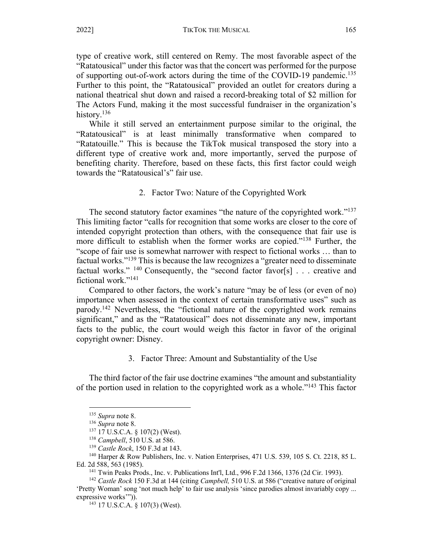type of creative work, still centered on Remy. The most favorable aspect of the "Ratatousical" under this factor was that the concert was performed for the purpose of supporting out-of-work actors during the time of the COVID-19 pandemic.<sup>135</sup> Further to this point, the "Ratatousical" provided an outlet for creators during a national theatrical shut down and raised a record-breaking total of \$2 million for The Actors Fund, making it the most successful fundraiser in the organization's history.<sup>136</sup>

While it still served an entertainment purpose similar to the original, the "Ratatousical" is at least minimally transformative when compared to "Ratatouille." This is because the TikTok musical transposed the story into a different type of creative work and, more importantly, served the purpose of benefiting charity. Therefore, based on these facts, this first factor could weigh towards the "Ratatousical's" fair use.

#### 2. Factor Two: Nature of the Copyrighted Work

The second statutory factor examines "the nature of the copyrighted work."<sup>137</sup> This limiting factor "calls for recognition that some works are closer to the core of intended copyright protection than others, with the consequence that fair use is more difficult to establish when the former works are copied."<sup>138</sup> Further, the "scope of fair use is somewhat narrower with respect to fictional works … than to factual works."139 This is because the law recognizes a "greater need to disseminate factual works." <sup>140</sup> Consequently, the "second factor favor[s] . . . creative and fictional work."141

Compared to other factors, the work's nature "may be of less (or even of no) importance when assessed in the context of certain transformative uses" such as parody.142 Nevertheless, the "fictional nature of the copyrighted work remains significant," and as the "Ratatousical" does not disseminate any new, important facts to the public, the court would weigh this factor in favor of the original copyright owner: Disney.

#### 3. Factor Three: Amount and Substantiality of the Use

The third factor of the fair use doctrine examines "the amount and substantiality of the portion used in relation to the copyrighted work as a whole.<sup> $143$ </sup> This factor

<sup>&</sup>lt;sup>135</sup> *Supra* note 8.<br><sup>136</sup> *Supra* note 8.<br><sup>137</sup> 17 U.S.C.A. § 107(2) (West).<br><sup>138</sup> *Campbell*, 510 U.S. at 586.

<sup>&</sup>lt;sup>139</sup> *Castle Rock*, 150 F.3d at 143.

<sup>&</sup>lt;sup>140</sup> Harper & Row Publishers, Inc. v. Nation Enterprises, 471 U.S. 539, 105 S. Ct. 2218, 85 L. Ed. 2d 588, 563 (1985).

<sup>141</sup> Twin Peaks Prods., Inc. v. Publications Int'l, Ltd., 996 F.2d 1366, 1376 (2d Cir. 1993).

<sup>142</sup> *Castle Rock* 150 F.3d at 144 (citing *Campbell,* 510 U.S. at 586 ("creative nature of original 'Pretty Woman' song 'not much help' to fair use analysis 'since parodies almost invariably copy ... expressive works"")).<br> $^{143}$  17 U.S.C.A. § 107(3) (West).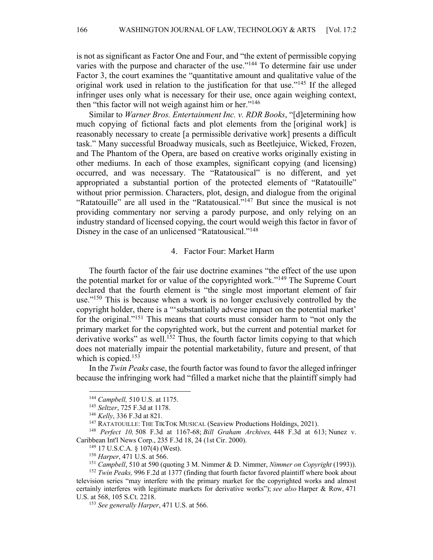is not as significant as Factor One and Four, and "the extent of permissible copying varies with the purpose and character of the use."<sup>144</sup> To determine fair use under Factor 3, the court examines the "quantitative amount and qualitative value of the original work used in relation to the justification for that use."145 If the alleged infringer uses only what is necessary for their use, once again weighing context, then "this factor will not weigh against him or her."<sup>146</sup>

Similar to *Warner Bros. Entertainment Inc. v. RDR Books*, "[d]etermining how much copying of fictional facts and plot elements from the [original work] is reasonably necessary to create [a permissible derivative work] presents a difficult task." Many successful Broadway musicals, such as Beetlejuice, Wicked, Frozen, and The Phantom of the Opera, are based on creative works originally existing in other mediums. In each of those examples, significant copying (and licensing) occurred, and was necessary. The "Ratatousical" is no different, and yet appropriated a substantial portion of the protected elements of "Ratatouille" without prior permission. Characters, plot, design, and dialogue from the original "Ratatouille" are all used in the "Ratatousical."147 But since the musical is not providing commentary nor serving a parody purpose, and only relying on an industry standard of licensed copying, the court would weigh this factor in favor of Disney in the case of an unlicensed "Ratatousical."148

#### 4. Factor Four: Market Harm

The fourth factor of the fair use doctrine examines "the effect of the use upon the potential market for or value of the copyrighted work."149 The Supreme Court declared that the fourth element is "the single most important element of fair use."<sup>150</sup> This is because when a work is no longer exclusively controlled by the copyright holder, there is a "'substantially adverse impact on the potential market' for the original."151 This means that courts must consider harm to "not only the primary market for the copyrighted work, but the current and potential market for derivative works" as well.<sup>152</sup> Thus, the fourth factor limits copying to that which does not materially impair the potential marketability, future and present, of that which is copied.<sup>153</sup>

In the *Twin Peaks* case, the fourth factor was found to favor the alleged infringer because the infringing work had "filled a market niche that the plaintiff simply had

<sup>144</sup> *Campbell,* 510 U.S. at 1175.

<sup>145</sup> *Seltzer*, 725 F.3d at 1178.

<sup>146</sup> *Kelly*, 336 F.3d at 821.

<sup>&</sup>lt;sup>147</sup> RATATOUILLE: THE TIKTOK MUSICAL (Seaview Productions Holdings, 2021).

<sup>148</sup> *Perfect 10,* 508 F.3d at 1167-68; *Bill Graham Archives,* 448 F.3d at 613; Nunez v. Caribbean Int'l News Corp., 235 F.3d 18, 24 (1st Cir. 2000).

<sup>149</sup> 17 U.S.C.A. § 107(4) (West).

<sup>150</sup> *Harper*, 471 U.S. at 566.

<sup>151</sup> *Campbell*, 510 at 590 (quoting 3 M. Nimmer & D. Nimmer, *Nimmer on Copyright* (1993)).

<sup>152</sup> *Twin Peaks,* 996 F.2d at 1377 (finding that fourth factor favored plaintiff where book about television series "may interfere with the primary market for the copyrighted works and almost certainly interferes with legitimate markets for derivative works"); *see also* Harper & Row, 471 U.S. at 568, 105 S.Ct. 2218.

<sup>153</sup> *See generally Harper*, 471 U.S. at 566.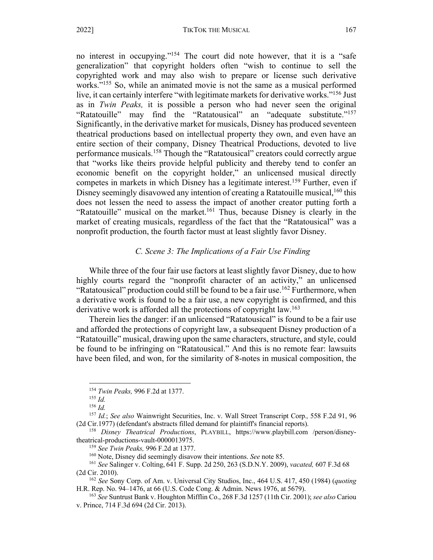no interest in occupying."154 The court did note however, that it is a "safe generalization" that copyright holders often "wish to continue to sell the copyrighted work and may also wish to prepare or license such derivative works."155 So, while an animated movie is not the same as a musical performed live, it can certainly interfere "with legitimate markets for derivative works."<sup>156</sup> Just as in *Twin Peaks,* it is possible a person who had never seen the original "Ratatouille" may find the "Ratatousical" an "adequate substitute."157 Significantly, in the derivative market for musicals, Disney has produced seventeen theatrical productions based on intellectual property they own, and even have an entire section of their company, Disney Theatrical Productions, devoted to live performance musicals.158 Though the "Ratatousical" creators could correctly argue that "works like theirs provide helpful publicity and thereby tend to confer an economic benefit on the copyright holder," an unlicensed musical directly competes in markets in which Disney has a legitimate interest.<sup>159</sup> Further, even if Disney seemingly disavowed any intention of creating a Ratatouille musical,<sup>160</sup> this does not lessen the need to assess the impact of another creator putting forth a "Ratatouille" musical on the market.<sup>161</sup> Thus, because Disney is clearly in the market of creating musicals, regardless of the fact that the "Ratatousical" was a nonprofit production, the fourth factor must at least slightly favor Disney.

## *C. Scene 3: The Implications of a Fair Use Finding*

While three of the four fair use factors at least slightly favor Disney, due to how highly courts regard the "nonprofit character of an activity," an unlicensed "Ratatousical" production could still be found to be a fair use.<sup>162</sup> Furthermore, when a derivative work is found to be a fair use, a new copyright is confirmed, and this derivative work is afforded all the protections of copyright law.<sup>163</sup>

Therein lies the danger: if an unlicensed "Ratatousical" is found to be a fair use and afforded the protections of copyright law, a subsequent Disney production of a "Ratatouille" musical, drawing upon the same characters, structure, and style, could be found to be infringing on "Ratatousical." And this is no remote fear: lawsuits have been filed, and won, for the similarity of 8-notes in musical composition, the

<sup>154</sup> *Twin Peaks,* 996 F.2d at 1377. 155 *Id.*

<sup>156</sup> *Id.* 

<sup>&</sup>lt;sup>157</sup> *Id.*; *See also* Wainwright Securities, Inc. v. Wall Street Transcript Corp., 558 F.2d 91, 96 (2d Cir.1977) (defendant's abstracts filled demand for plaintiff's financial reports).

<sup>&</sup>lt;sup>158</sup> Disney Theatrical Productions, PLAYBILL, https://www.playbill.com /person/disneytheatrical-productions-vault-0000013975.

<sup>&</sup>lt;sup>159</sup> See Twin Peaks, 996 F.2d at 1377.<br><sup>160</sup> Note, Disney did seemingly disavow their intentions. See note 85.<br><sup>161</sup> See Salinger v. Colting, 641 F. Supp. 2d 250, 263 (S.D.N.Y. 2009), *vacated*, 607 F.3d 68 (2d Cir. 2010).

<sup>162</sup> *See* Sony Corp. of Am. v. Universal City Studios, Inc., 464 U.S. 417, 450 (1984) (*quoting*  H.R. Rep. No. 94–1476, at 66 (U.S. Code Cong. & Admin. News 1976, at 5679).

<sup>163</sup> *See* Suntrust Bank v. Houghton Mifflin Co., 268 F.3d 1257 (11th Cir. 2001); *see also* Cariou v. Prince, 714 F.3d 694 (2d Cir. 2013).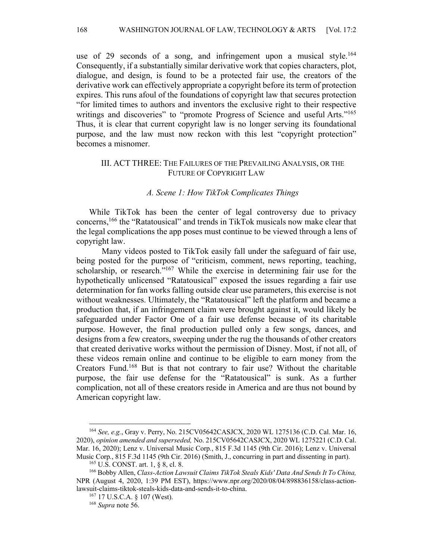use of 29 seconds of a song, and infringement upon a musical style.<sup>164</sup> Consequently, if a substantially similar derivative work that copies characters, plot, dialogue, and design, is found to be a protected fair use, the creators of the derivative work can effectively appropriate a copyright before its term of protection expires. This runs afoul of the foundations of copyright law that secures protection "for limited times to authors and inventors the exclusive right to their respective writings and discoveries" to "promote Progress of Science and useful Arts."<sup>165</sup> Thus, it is clear that current copyright law is no longer serving its foundational purpose, and the law must now reckon with this lest "copyright protection" becomes a misnomer.

## III. ACT THREE: THE FAILURES OF THE PREVAILING ANALYSIS, OR THE FUTURE OF COPYRIGHT LAW

#### *A. Scene 1: How TikTok Complicates Things*

While TikTok has been the center of legal controversy due to privacy concerns,166 the "Ratatousical" and trends in TikTok musicals now make clear that the legal complications the app poses must continue to be viewed through a lens of copyright law.

Many videos posted to TikTok easily fall under the safeguard of fair use, being posted for the purpose of "criticism, comment, news reporting, teaching, scholarship, or research."<sup>167</sup> While the exercise in determining fair use for the hypothetically unlicensed "Ratatousical" exposed the issues regarding a fair use determination for fan works falling outside clear use parameters, this exercise is not without weaknesses. Ultimately, the "Ratatousical" left the platform and became a production that, if an infringement claim were brought against it, would likely be safeguarded under Factor One of a fair use defense because of its charitable purpose. However, the final production pulled only a few songs, dances, and designs from a few creators, sweeping under the rug the thousands of other creators that created derivative works without the permission of Disney. Most, if not all, of these videos remain online and continue to be eligible to earn money from the Creators Fund.168 But is that not contrary to fair use? Without the charitable purpose, the fair use defense for the "Ratatousical" is sunk. As a further complication, not all of these creators reside in America and are thus not bound by American copyright law.

<sup>164</sup> *See, e.g.*, Gray v. Perry, No. 215CV05642CASJCX, 2020 WL 1275136 (C.D. Cal. Mar. 16, 2020), *opinion amended and superseded,* No. 215CV05642CASJCX, 2020 WL 1275221 (C.D. Cal. Mar. 16, 2020); Lenz v. Universal Music Corp*.*, 815 F.3d 1145 (9th Cir. 2016); Lenz v. Universal Music Corp., 815 F.3d 1145 (9th Cir. 2016) (Smith, J., concurring in part and dissenting in part).<br><sup>165</sup> U.S. CONST. art. 1, § 8, cl. 8.

<sup>166</sup> Bobby Allen, *Class-Action Lawsuit Claims TikTok Steals Kids' Data And Sends It To China,*  NPR (August 4, 2020, 1:39 PM EST), https://www.npr.org/2020/08/04/898836158/class-actionlawsuit-claims-tiktok-steals-kids-data-and-sends-it-to-china.

<sup>167</sup> 17 U.S.C.A. § 107 (West). 168 *Supra* note 56.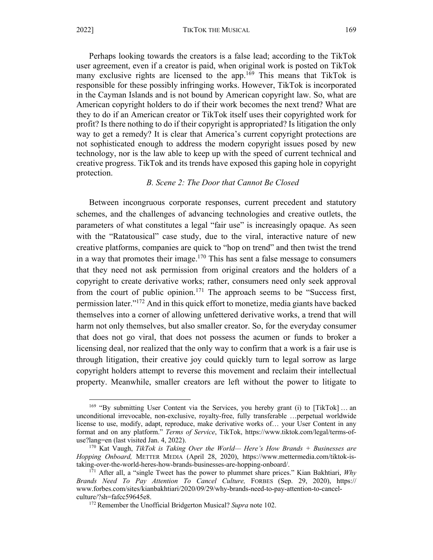Perhaps looking towards the creators is a false lead; according to the TikTok user agreement, even if a creator is paid, when original work is posted on TikTok many exclusive rights are licensed to the app.<sup>169</sup> This means that TikTok is responsible for these possibly infringing works. However, TikTok is incorporated in the Cayman Islands and is not bound by American copyright law. So, what are American copyright holders to do if their work becomes the next trend? What are they to do if an American creator or TikTok itself uses their copyrighted work for profit? Is there nothing to do if their copyright is appropriated? Is litigation the only way to get a remedy? It is clear that America's current copyright protections are not sophisticated enough to address the modern copyright issues posed by new technology, nor is the law able to keep up with the speed of current technical and creative progress. TikTok and its trends have exposed this gaping hole in copyright protection.

## *B. Scene 2: The Door that Cannot Be Closed*

Between incongruous corporate responses, current precedent and statutory schemes, and the challenges of advancing technologies and creative outlets, the parameters of what constitutes a legal "fair use" is increasingly opaque. As seen with the "Ratatousical" case study, due to the viral, interactive nature of new creative platforms, companies are quick to "hop on trend" and then twist the trend in a way that promotes their image.<sup>170</sup> This has sent a false message to consumers that they need not ask permission from original creators and the holders of a copyright to create derivative works; rather, consumers need only seek approval from the court of public opinion.<sup>171</sup> The approach seems to be "Success first, permission later."172 And in this quick effort to monetize, media giants have backed themselves into a corner of allowing unfettered derivative works, a trend that will harm not only themselves, but also smaller creator. So, for the everyday consumer that does not go viral, that does not possess the acumen or funds to broker a licensing deal, nor realized that the only way to confirm that a work is a fair use is through litigation, their creative joy could quickly turn to legal sorrow as large copyright holders attempt to reverse this movement and reclaim their intellectual property. Meanwhile, smaller creators are left without the power to litigate to

<sup>&</sup>lt;sup>169</sup> "By submitting User Content via the Services, you hereby grant (i) to [TikTok] ... an unconditional irrevocable, non-exclusive, royalty-free, fully transferable …perpetual worldwide license to use, modify, adapt, reproduce, make derivative works of… your User Content in any format and on any platform." *Terms of Service*, TikTok, https://www.tiktok.com/legal/terms-ofuse?lang=en (last visited Jan. 4, 2022). 170 Kat Vaugh, *TikTok is Taking Over the World— Here's How Brands + Businesses are* 

*Hopping Onboard,* METTER MEDIA (April 28, 2020), https://www.mettermedia.com/tiktok-istaking-over-the-world-heres-how-brands-businesses-are-hopping-onboard/.

<sup>&</sup>lt;sup>171</sup> After all, a "single Tweet has the power to plummet share prices." Kian Bakhtiari, *Why Brands Need To Pay Attention To Cancel Culture,* FORBES (Sep. 29, 2020), https:// www.forbes.com/sites/kianbakhtiari/2020/09/29/why-brands-need-to-pay-attention-to-cancelculture/?sh=fafcc59645e8.

<sup>172</sup> Remember the Unofficial Bridgerton Musical? *Supra* note 102.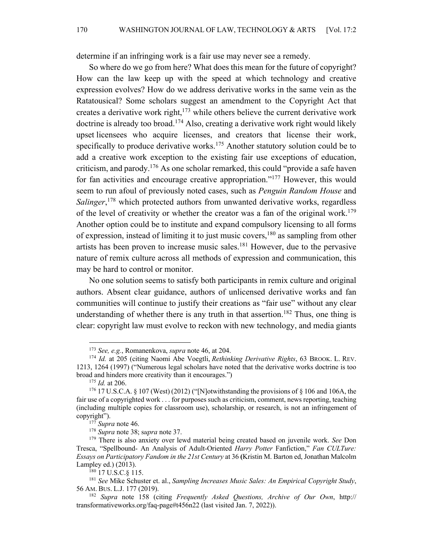determine if an infringing work is a fair use may never see a remedy.

So where do we go from here? What does this mean for the future of copyright? How can the law keep up with the speed at which technology and creative expression evolves? How do we address derivative works in the same vein as the Ratatousical? Some scholars suggest an amendment to the Copyright Act that creates a derivative work right, $173$  while others believe the current derivative work doctrine is already too broad.<sup>174</sup> Also, creating a derivative work right would likely upset licensees who acquire licenses, and creators that license their work, specifically to produce derivative works.<sup>175</sup> Another statutory solution could be to add a creative work exception to the existing fair use exceptions of education, criticism, and parody.<sup>176</sup> As one scholar remarked, this could "provide a safe haven for fan activities and encourage creative appropriation."177 However, this would seem to run afoul of previously noted cases, such as *Penguin Random House* and *Salinger*, <sup>178</sup> which protected authors from unwanted derivative works, regardless of the level of creativity or whether the creator was a fan of the original work.<sup>179</sup> Another option could be to institute and expand compulsory licensing to all forms of expression, instead of limiting it to just music covers,180 as sampling from other artists has been proven to increase music sales.181 However, due to the pervasive nature of remix culture across all methods of expression and communication, this may be hard to control or monitor.

No one solution seems to satisfy both participants in remix culture and original authors. Absent clear guidance, authors of unlicensed derivative works and fan communities will continue to justify their creations as "fair use" without any clear understanding of whether there is any truth in that assertion. <sup>182</sup> Thus, one thing is clear: copyright law must evolve to reckon with new technology, and media giants

<sup>173</sup> *See, e.g.*, Romanenkova, *supra* note 46, at 204.

<sup>174</sup> *Id.* at 205 (citing Naomi Abe Voegtli, *Rethinking Derivative Rights*, 63 BROOK. L. REV. 1213, 1264 (1997) ("Numerous legal scholars have noted that the derivative works doctrine is too broad and hinders more creativity than it encourages.")<br><sup>175</sup> *Id.* at 206. <sup>176</sup> 17 U.S.C.A. § 107 (West) (2012) ("Notwithstanding the provisions of § 106 and 106A, the

fair use of a copyrighted work . . . for purposes such as criticism, comment, news reporting, teaching (including multiple copies for classroom use), scholarship, or research, is not an infringement of copyright").<br> $177$  Supra note 46.

<sup>177</sup> *Supra* note 46. 178 *Supra* note 38; s*upra* note 37.

<sup>179</sup> There is also anxiety over lewd material being created based on juvenile work. *See* Don Tresca, "Spellbound- An Analysis of Adult-Oriented *Harry Potter* Fanfiction," *Fan CULTure: Essays on Participatory Fandom in the 21st Century* at 36 **(**Kristin M. Barton ed, Jonathan Malcolm Lampley ed.) (2013).

<sup>&</sup>lt;sup>180</sup> 17 U.S.C.§ 115.

<sup>181</sup> *See* Mike Schuster et. al., *Sampling Increases Music Sales: An Empirical Copyright Study*, 56 AM. BUS. L.J. 177 (2019).

<sup>182</sup> *Supra* note 158 (citing *Frequently Asked Questions, Archive of Our Own*, http:// transformativeworks.org/faq-page#t456n22 (last visited Jan. 7, 2022)).